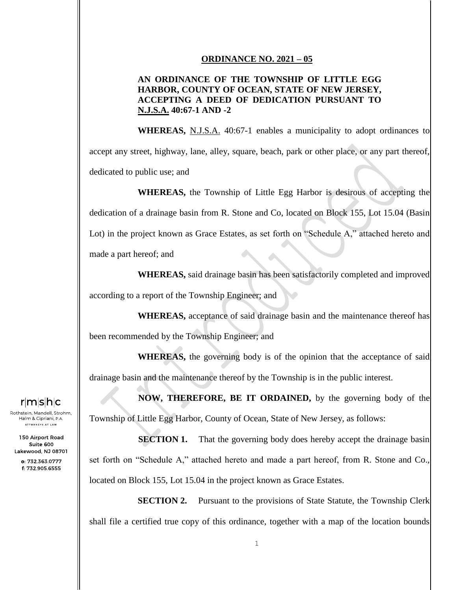## **ORDINANCE NO. 2021 – 05**

## **AN ORDINANCE OF THE TOWNSHIP OF LITTLE EGG HARBOR, COUNTY OF OCEAN, STATE OF NEW JERSEY, ACCEPTING A DEED OF DEDICATION PURSUANT TO N.J.S.A. 40:67-1 AND -2**

**WHEREAS,** N.J.S.A. 40:67-1 enables a municipality to adopt ordinances to accept any street, highway, lane, alley, square, beach, park or other place, or any part thereof, dedicated to public use; and

**WHEREAS,** the Township of Little Egg Harbor is desirous of accepting the dedication of a drainage basin from R. Stone and Co, located on Block 155, Lot 15.04 (Basin Lot) in the project known as Grace Estates, as set forth on "Schedule A," attached hereto and made a part hereof; and

**WHEREAS,** said drainage basin has been satisfactorily completed and improved according to a report of the Township Engineer; and

**WHEREAS,** acceptance of said drainage basin and the maintenance thereof has been recommended by the Township Engineer; and

**WHEREAS,** the governing body is of the opinion that the acceptance of said drainage basin and the maintenance thereof by the Township is in the public interest.

**NOW, THEREFORE, BE IT ORDAINED,** by the governing body of the Township of Little Egg Harbor, County of Ocean, State of New Jersey, as follows:

**SECTION 1.** That the governing body does hereby accept the drainage basin set forth on "Schedule A," attached hereto and made a part hereof, from R. Stone and Co., located on Block 155, Lot 15.04 in the project known as Grace Estates.

**SECTION 2.** Pursuant to the provisions of State Statute, the Township Clerk shall file a certified true copy of this ordinance, together with a map of the location bounds

## r|m|s|h|c

Rothstein, Mandell, Strohm, Halm & Cipriani, P.A. .<br>ATTORNEYS AT LAW

150 Airport Road Suite 600 Lakewood, NJ 08701

> o: 732.363.0777 f: 732.905.6555